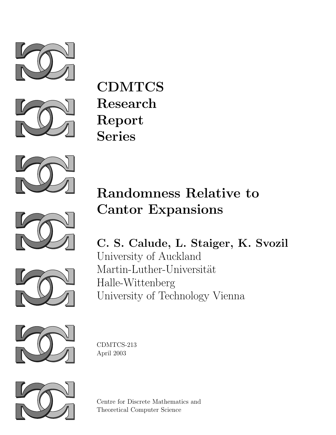



CDMTCS Research Report Series



# Randomness Relative to Cantor Expansions





C. S. Calude, L. Staiger, K. Svozil University of Auckland Martin-Luther-Universität Halle-Wittenberg University of Technology Vienna



CDMTCS-213 April 2003



Centre for Discrete Mathematics and Theoretical Computer Science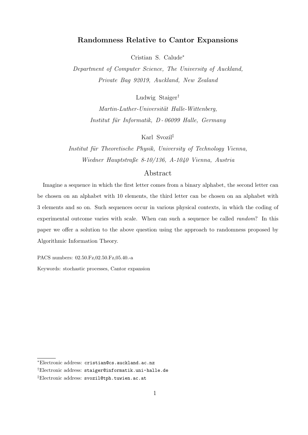## Randomness Relative to Cantor Expansions

Cristian S. Calude<sup>∗</sup>

Department of Computer Science, The University of Auckland, Private Bag 92019, Auckland, New Zealand

Ludwig Staiger†

Martin-Luther-Universität Halle-Wittenberg, Institut für Informatik, D-06099 Halle, Germany

Karl Svozil‡

Institut für Theoretische Physik, University of Technology Vienna, Wiedner Hauptstraße 8-10/136, A-1040 Vienna, Austria

## Abstract

Imagine a sequence in which the first letter comes from a binary alphabet, the second letter can be chosen on an alphabet with 10 elements, the third letter can be chosen on an alphabet with 3 elements and so on. Such sequences occur in various physical contexts, in which the coding of experimental outcome varies with scale. When can such a sequence be called random? In this paper we offer a solution to the above question using the approach to randomness proposed by Algorithmic Information Theory.

PACS numbers: 02.50.Fz,02.50.Fz,05.40.-a

Keywords: stochastic processes, Cantor expansion

<sup>∗</sup>Electronic address: cristian@cs.auckland.ac.nz

<sup>†</sup>Electronic address: staiger@informatik.uni-halle.de

<sup>‡</sup>Electronic address: svozil@tph.tuwien.ac.at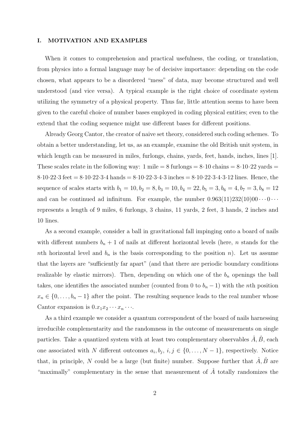#### I. MOTIVATION AND EXAMPLES

When it comes to comprehension and practical usefulness, the coding, or translation, from physics into a formal language may be of decisive importance: depending on the code chosen, what appears to be a disordered "mess" of data, may become structured and well understood (and vice versa). A typical example is the right choice of coordinate system utilizing the symmetry of a physical property. Thus far, little attention seems to have been given to the careful choice of number bases employed in coding physical entities; even to the extend that the coding sequence might use different bases for different positions.

Already Georg Cantor, the creator of naive set theory, considered such coding schemes. To obtain a better understanding, let us, as an example, examine the old British unit system, in which length can be measured in miles, furlongs, chains, yards, feet, hands, inches, lines [1]. These scales relate in the following way: 1 mile  $= 8$  furlongs  $= 8.10$  chains  $= 8.10.22$  yards  $=$ 8·10·22·3 feet = 8·10·22·3·4 hands = 8·10·22·3·4·3 inches = 8·10·22·3·4·3·12 lines. Hence, the sequence of scales starts with  $b_1 = 10, b_2 = 8, b_3 = 10, b_4 = 22, b_5 = 3, b_6 = 4, b_7 = 3, b_8 = 12$ and can be continued ad infinitum. For example, the number  $0.963(11)232(10)00\cdots0\cdots$ represents a length of 9 miles, 6 furlongs, 3 chains, 11 yards, 2 feet, 3 hands, 2 inches and 10 lines.

As a second example, consider a ball in gravitational fall impinging onto a board of nails with different numbers  $b_n + 1$  of nails at different horizontal levels (here, *n* stands for the nth horizontal level and  $b_n$  is the basis corresponding to the position n). Let us assume that the layers are "sufficiently far apart" (and that there are periodic boundary conditions realizable by elastic mirrors). Then, depending on which one of the  $b_n$  openings the ball takes, one identifies the associated number (counted from 0 to  $b_n - 1$ ) with the *n*th position  $x_n \in \{0, \ldots, b_n - 1\}$  after the point. The resulting sequence leads to the real number whose Cantor expansion is  $0.x_1x_2\cdots x_n\cdots$ .

As a third example we consider a quantum correspondent of the board of nails harnessing irreducible complementarity and the randomness in the outcome of measurements on single particles. Take a quantized system with at least two complementary observables  $\ddot{A}, \ddot{B}$ , each one associated with N different outcomes  $a_i, b_j, i, j \in \{0, ..., N-1\}$ , respectively. Notice that, in principle, N could be a large (but finite) number. Suppose further that  $\hat{A}, \hat{B}$  are "maximally" complementary in the sense that measurement of  $\hat{A}$  totally randomizes the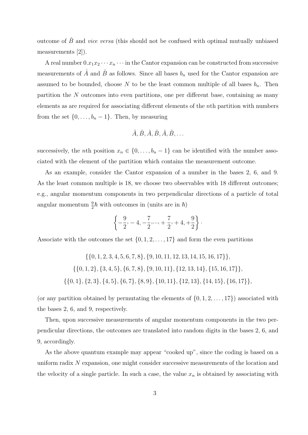outcome of  $\hat{B}$  and *vice versa* (this should not be confused with optimal mutually unbiased measurements [2]).

A real number  $0.x_1x_2 \cdots x_n \cdots$  in the Cantor expansion can be constructed from successive measurements of  $\hat{A}$  and  $\hat{B}$  as follows. Since all bases  $b_n$  used for the Cantor expansion are assumed to be bounded, choose N to be the least common multiple of all bases  $b_n$ . Then partition the N outcomes into even partitions, one per different base, containing as many elements as are required for associating different elements of the nth partition with numbers from the set  $\{0, \ldots, b_n - 1\}$ . Then, by measuring

$$
\hat{A}, \hat{B}, \hat{A}, \hat{B}, \hat{A}, \hat{B}, \dots
$$

successively, the *n*th position  $x_n \in \{0, \ldots, b_n - 1\}$  can be identified with the number associated with the element of the partition which contains the measurement outcome.

As an example, consider the Cantor expansion of a number in the bases 2, 6, and 9. As the least common multiple is 18, we choose two observables with 18 different outcomes; e.g., angular momentum components in two perpendicular directions of a particle of total angular momentum  $\frac{9}{2}\hbar$  with outcomes in (units are in  $\hbar$ )

$$
\left\{-\frac{9}{2}, -4, -\frac{7}{2}, \dots, +\frac{7}{2}, +4, +\frac{9}{2}\right\}.
$$

Associate with the outcomes the set  $\{0, 1, 2, \ldots, 17\}$  and form the even partitions

$$
\{\{0, 1, 2, 3, 4, 5, 6, 7, 8\}, \{9, 10, 11, 12, 13, 14, 15, 16, 17\}\},\
$$

$$
\{\{0, 1, 2\}, \{3, 4, 5\}, \{6, 7, 8\}, \{9, 10, 11\}, \{12, 13, 14\}, \{15, 16, 17\}\},\
$$

$$
\{\{0, 1\}, \{2, 3\}, \{4, 5\}, \{6, 7\}, \{8, 9\}, \{10, 11\}, \{12, 13\}, \{14, 15\}, \{16, 17\}\},\
$$

(or any partition obtained by permutating the elements of  $\{0, 1, 2, \ldots, 17\}$ ) associated with the bases 2, 6, and 9, respectively.

Then, upon successive measurements of angular momentum components in the two perpendicular directions, the outcomes are translated into random digits in the bases 2, 6, and 9, accordingly.

As the above quantum example may appear "cooked up", since the coding is based on a uniform radix N expansion, one might consider successive measurements of the location and the velocity of a single particle. In such a case, the value  $x_n$  is obtained by associating with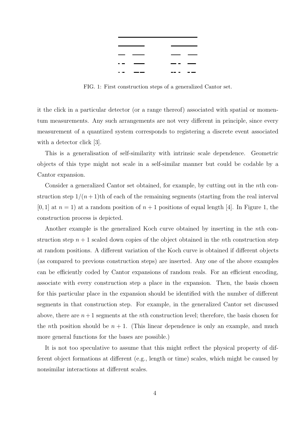

FIG. 1: First construction steps of a generalized Cantor set.

it the click in a particular detector (or a range thereof) associated with spatial or momentum measurements. Any such arrangements are not very different in principle, since every measurement of a quantized system corresponds to registering a discrete event associated with a detector click [3].

This is a generalisation of self-similarity with intrinsic scale dependence. Geometric objects of this type might not scale in a self-similar manner but could be codable by a Cantor expansion.

Consider a generalized Cantor set obtained, for example, by cutting out in the nth construction step  $1/(n+1)$ th of each of the remaining segments (starting from the real interval  $[0, 1]$  at  $n = 1$ ) at a random position of  $n + 1$  positions of equal length [4]. In Figure 1, the construction process is depicted.

Another example is the generalized Koch curve obtained by inserting in the nth construction step  $n + 1$  scaled down copies of the object obtained in the *n*th construction step at random positions. A different variation of the Koch curve is obtained if different objects (as compared to previous construction steps) are inserted. Any one of the above examples can be efficiently coded by Cantor expansions of random reals. For an efficient encoding, associate with every construction step a place in the expansion. Then, the basis chosen for this particular place in the expansion should be identified with the number of different segments in that construction step. For example, in the generalized Cantor set discussed above, there are  $n+1$  segments at the *n*th construction level; therefore, the basis chosen for the *n*th position should be  $n + 1$ . (This linear dependence is only an example, and much more general functions for the bases are possible.)

It is not too speculative to assume that this might reflect the physical property of different object formations at different (e.g., length or time) scales, which might be caused by nonsimilar interactions at different scales.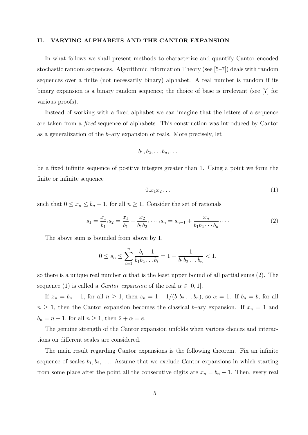#### II. VARYING ALPHABETS AND THE CANTOR EXPANSION

In what follows we shall present methods to characterize and quantify Cantor encoded stochastic random sequences. Algorithmic Information Theory (see [5–7]) deals with random sequences over a finite (not necessarily binary) alphabet. A real number is random if its binary expansion is a binary random sequence; the choice of base is irrelevant (see [7] for various proofs).

Instead of working with a fixed alphabet we can imagine that the letters of a sequence are taken from a fixed sequence of alphabets. This construction was introduced by Cantor as a generalization of the  $b$ –ary expansion of reals. More precisely, let

$$
b_1, b_2, \ldots b_n, \ldots
$$

be a fixed infinite sequence of positive integers greater than 1. Using a point we form the finite or infinite sequence

$$
0.x_1x_2\ldots \hspace{1.5cm} (1)
$$

such that  $0 \leq x_n \leq b_n - 1$ , for all  $n \geq 1$ . Consider the set of rationals

$$
s_1 = \frac{x_1}{b_1}, s_2 = \frac{x_1}{b_1} + \frac{x_2}{b_1 b_2}, \dots, s_n = s_{n-1} + \frac{x_n}{b_1 b_2 \cdots b_n}, \dots
$$
 (2)

The above sum is bounded from above by 1,

$$
0 \le s_n \le \sum_{i=1}^n \frac{b_i - 1}{b_1 b_2 \dots b_i} = 1 - \frac{1}{b_1 b_2 \dots b_n} < 1,
$$

so there is a unique real number  $\alpha$  that is the least upper bound of all partial sums (2). The sequence (1) is called a *Cantor expansion* of the real  $\alpha \in [0, 1]$ .

If  $x_n = b_n - 1$ , for all  $n \ge 1$ , then  $s_n = 1 - 1/(b_1 b_2 ... b_n)$ , so  $\alpha = 1$ . If  $b_n = b$ , for all  $n \geq 1$ , then the Cantor expansion becomes the classical b–ary expansion. If  $x_n = 1$  and  $b_n = n + 1$ , for all  $n \geq 1$ , then  $2 + \alpha = e$ .

The genuine strength of the Cantor expansion unfolds when various choices and interactions on different scales are considered.

The main result regarding Cantor expansions is the following theorem. Fix an infinite sequence of scales  $b_1, b_2, \ldots$ . Assume that we exclude Cantor expansions in which starting from some place after the point all the consecutive digits are  $x_n = b_n - 1$ . Then, every real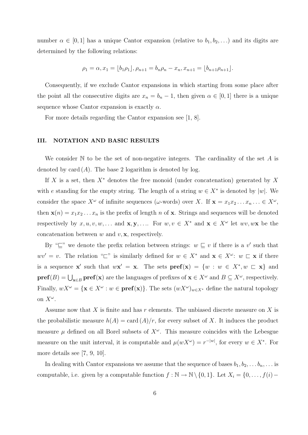number  $\alpha \in [0,1]$  has a unique Cantor expansion (relative to  $b_1, b_2, \ldots$ ) and its digits are determined by the following relations:

$$
\rho_1 = \alpha, x_1 = \lfloor b_1 \rho_1 \rfloor, \rho_{n+1} = b_n \rho_n - x_n, x_{n+1} = \lfloor b_{n+1} \rho_{n+1} \rfloor.
$$

Consequently, if we exclude Cantor expansions in which starting from some place after the point all the consecutive digits are  $x_n = b_n - 1$ , then given  $\alpha \in [0, 1]$  there is a unique sequence whose Cantor expansion is exactly  $\alpha$ .

For more details regarding the Cantor expansion see [1, 8].

#### III. NOTATION AND BASIC RESULTS

We consider  $\mathbb N$  to be the set of non-negative integers. The cardinality of the set  $A$  is denoted by card  $(A)$ . The base 2 logarithm is denoted by log.

If X is a set, then  $X^*$  denotes the free monoid (under concatenation) generated by X with e standing for the empty string. The length of a string  $w \in X^*$  is denoted by |w|. We consider the space  $X^{\omega}$  of infinite sequences ( $\omega$ -words) over X. If  $\mathbf{x} = x_1 x_2 \dots x_n \dots \in X^{\omega}$ , then  $\mathbf{x}(n) = x_1 x_2 \dots x_n$  is the prefix of length n of **x**. Strings and sequences will be denoted respectively by  $x, u, v, w, \ldots$  and  $\mathbf{x}, \mathbf{y}, \ldots$  For  $w, v \in X^*$  and  $\mathbf{x} \in X^{\omega}$  let  $wv, w\mathbf{x}$  be the concatenation between  $w$  and  $v$ ,  $\mathbf{x}$ , respectively.

By " $\subseteq$ " we denote the prefix relation between strings:  $w \subseteq v$  if there is a v' such that  $wv' = v$ . The relation " $\sqsubset$ " is similarly defined for  $w \in X^*$  and  $\mathbf{x} \in X^{\omega}$ :  $w \sqsubset \mathbf{x}$  if there is a sequence **x'** such that  $w\mathbf{x}' = \mathbf{x}$ . The sets  $\mathbf{pref}(\mathbf{x}) = \{w : w \in X^*, w \sqsubset \mathbf{x}\}\$ and  $\textbf{pref}(B) = \bigcup_{\mathbf{x} \in B} \textbf{pref}(\mathbf{x})$  are the languages of prefixes of  $\mathbf{x} \in X^{\omega}$  and  $B \subseteq X^{\omega}$ , respectively. Finally,  $wX^{\omega} = {\mathbf{x} \in X^{\omega} : w \in \mathbf{pref}(\mathbf{x})\}.$  The sets  $(wX^{\omega})_{w \in X^*}$  define the natural topology on  $X^{\omega}$ .

Assume now that  $X$  is finite and has  $r$  elements. The unbiased discrete measure on  $X$  is the probabilistic measure  $h(A) = \text{card}(A)/r$ , for every subset of X. It induces the product measure  $\mu$  defined on all Borel subsets of  $X^{\omega}$ . This measure coincides with the Lebesgue measure on the unit interval, it is computable and  $\mu(wX^{\omega}) = r^{-|w|}$ , for every  $w \in X^*$ . For more details see [7, 9, 10].

In dealing with Cantor expansions we assume that the sequence of bases  $b_1, b_2, \ldots b_n, \ldots$  is computable, i.e. given by a computable function  $f : \mathbb{N} \to \mathbb{N} \setminus \{0, 1\}$ . Let  $X_i = \{0, \ldots, f(i) -$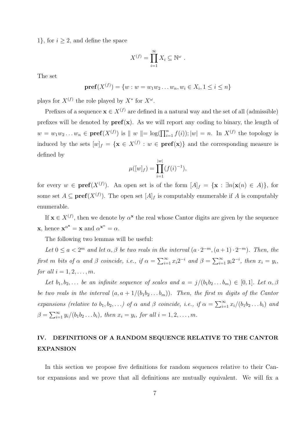1, for  $i \geq 2$ , and define the space

$$
X^{(f)} = \prod_{i=1}^{\infty} X_i \subseteq \mathbb{N}^{\omega} .
$$

The set

$$
\mathbf{pref}(X^{(f)}) = \{w : w = w_1w_2\dots w_n, w_i \in X_i, 1 \le i \le n\}
$$

plays for  $X^{(f)}$  the role played by  $X^*$  for  $X^{\omega}$ .

Prefixes of a sequence  $\mathbf{x} \in X^{(f)}$  are defined in a natural way and the set of all (admissible) prefixes will be denoted by  $\text{pref}(x)$ . As we will report any coding to binary, the length of  $w = w_1w_2...w_n \in \text{pref}(X^{(f)})$  is  $||w|| = \log(\prod_{i=1}^n f(i)); |w| = n$ . In  $X^{(f)}$  the topology is induced by the sets  $[w]_f = \{ \mathbf{x} \in X^{(f)} : w \in \mathbf{pref}(\mathbf{x}) \}$  and the corresponding measure is defined by

$$
\mu([w]_f) = \prod_{i=1}^{|w|} (f(i)^{-1}),
$$

for every  $w \in \text{pref}(X^{(f)})$ . An open set is of the form  $[A]_f = {\mathbf{x} : \exists n(\mathbf{x}(n) \in A)}$ , for some set  $A \subseteq \textbf{pref}(X^{(f)})$ . The open set  $[A]_f$  is computably enumerable if A is computably enumerable.

If  $\mathbf{x} \in X^{(f)}$ , then we denote by  $\alpha^{\mathbf{x}}$  the real whose Cantor digits are given by the sequence **x**, hence  $\mathbf{x}^{\alpha^*} = \mathbf{x}$  and  $\alpha^{\mathbf{x}^{\alpha}} = \alpha$ .

The following two lemmas will be useful:

Let  $0 \le a < 2^m$  and let  $\alpha, \beta$  be two reals in the interval  $(a \cdot 2^{-m}, (a+1) \cdot 2^{-m})$ . Then, the first m bits of  $\alpha$  and  $\beta$  coincide, i.e., if  $\alpha = \sum_{i=1}^{\infty} x_i 2^{-i}$  and  $\beta = \sum_{i=1}^{\infty} y_i 2^{-i}$ , then  $x_i = y_i$ , for all  $i = 1, 2, \ldots, m$ .

Let  $b_1, b_2, \ldots$  be an infinite sequence of scales and  $a = j/(b_1b_2 \ldots b_m) \in [0,1]$ . Let  $\alpha, \beta$ be two reals in the interval  $(a, a + 1/(b_1b_2...b_m))$ . Then, the first m digits of the Cantor expansions (relative to  $b_1, b_2, \ldots$ ) of  $\alpha$  and  $\beta$  coincide, i.e., if  $\alpha = \sum_{i=1}^{\infty} x_i/(b_1 b_2 \ldots b_i)$  and  $\beta = \sum_{i=1}^{\infty} y_i/(b_1b_2...b_i)$ , then  $x_i = y_i$ , for all  $i = 1, 2, ..., m$ .

# IV. DEFINITIONS OF A RANDOM SEQUENCE RELATIVE TO THE CANTOR EXPANSION

In this section we propose five definitions for random sequences relative to their Cantor expansions and we prove that all definitions are mutually equivalent. We will fix a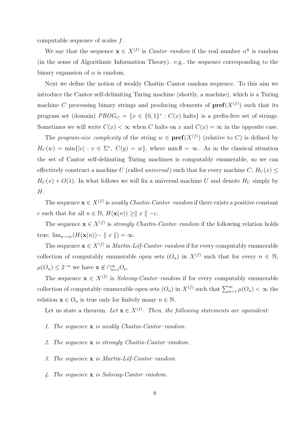computable sequence of scales f.

We say that the sequence  $\mathbf{x} \in X^{(f)}$  is *Cantor-random* if the real number  $\alpha^{\mathbf{x}}$  is random (in the sense of Algorithmic Information Theory). e.g., the sequence corresponding to the binary expansion of  $\alpha$  is random.

Next we define the notion of weakly Chaitin–Cantor random sequence. To this aim we introduce the Cantor self-delimiting Turing machine (shortly, a machine), which is a Turing machine C processing binary strings and producing elements of  $\text{pref}(X^{(f)})$  such that its program set (domain)  $PROG_C = \{x \in \{0,1\}^* : C(x) \text{ halts}\}\$ is a prefix-free set of strings. Sometimes we will write  $C(x) < \infty$  when C halts on x and  $C(x) = \infty$  in the opposite case.

The program-size complexity of the string  $w \in \text{pref}(X^{(f)})$  (relative to C) is defined by  $H_C(w) = \min\{|v| : v \in \Sigma^*, C(y) = w\},\$  where  $\min \emptyset = \infty$ . As in the classical situation the set of Cantor self-delimiting Turing machines is computably enumerable, so we can effectively construct a machine U (called *universal*) such that for every machine C,  $H_U(x) \leq$  $H_C(x) + O(1)$ . In what follows we will fix a universal machine U and denote  $H_U$  simply by H.

The sequence  $\mathbf{x} \in X^{(f)}$  is weakly Chaitin-Cantor-random if there exists a positive constant c such that for all  $n \in \mathbb{N}$ ,  $H(\mathbf{x}(n)) \ge ||x|| -c$ .

The sequence  $\mathbf{x} \in X^{(f)}$  is *strongly Chaitin-Cantor-random* if the following relation holds true:  $\lim_{n\to\infty}(H(\mathbf{x}(n))-\parallel x\parallel) = \infty.$ 

The sequence  $\mathbf{x} \in X^{(f)}$  is *Martin-Löf-Cantor-random* if for every computably enumerable collection of computably enumerable open sets  $(O_n)$  in  $X^{(f)}$  such that for every  $n \in \mathbb{N}$ ,  $\mu(O_n) \leq 2^{-n}$  we have  $\mathbf{x} \notin \bigcap_{n=1}^{\infty} O_n$ .

The sequence  $\mathbf{x} \in X^{(f)}$  is *Solovay-Cantor-random* if for every computably enumerable collection of computably enumerable open sets  $(O_n)$  in  $X^{(f)}$  such that  $\sum_{n=1}^{\infty} \mu(O_n) < \infty$  the relation  $\mathbf{x} \in O_n$  is true only for finitely many  $n \in \mathbb{N}$ .

Let us state a theorem. Let  $\mathbf{x} \in X^{(f)}$ . Then, the following statements are equivalent:

- 1. The sequence  $x$  is weakly Chaitin-Cantor-random.
- 2. The sequence x is strongly Chaitin-Cantor–random.
- 3. The sequence  $\bf{x}$  is Martin-Löf-Cantor-random.
- 4. The sequence x is Solovay-Cantor–random.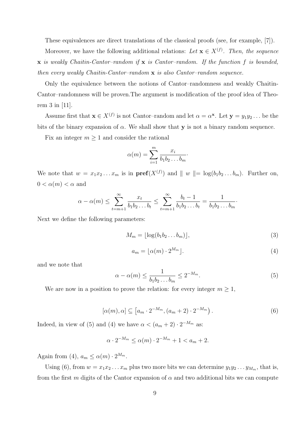These equivalences are direct translations of the classical proofs (see, for example, [7]).

Moreover, we have the following additional relations: Let  $\mathbf{x} \in X^{(f)}$ . Then, the sequence  $x$  is weakly Chaitin-Cantor-random if  $x$  is Cantor-random. If the function f is bounded, then every weakly Chaitin-Cantor-random  $x$  is also Cantor-random sequence.

Only the equivalence between the notions of Cantor–randomness and weakly Chaitin-Cantor–randomness will be proven.The argument is modification of the proof idea of Theorem 3 in [11].

Assume first that  $\mathbf{x} \in X^{(f)}$  is not Cantor-random and let  $\alpha = \alpha^{\mathbf{x}}$ . Let  $\mathbf{y} = y_1 y_2 \dots$  be the bits of the binary expansion of  $\alpha$ . We shall show that y is not a binary random sequence.

Fix an integer  $m \geq 1$  and consider the rational

$$
\alpha(m) = \sum_{i=1}^m \frac{x_i}{b_1 b_2 \dots b_m}.
$$

We note that  $w = x_1 x_2 ... x_m$  is in  $\text{pref}(X^{(f)})$  and  $||w|| = \log(b_1 b_2 ... b_m)$ . Further on,  $0 < \alpha(m) < \alpha$  and

$$
\alpha - \alpha(m) \le \sum_{t=m+1}^{\infty} \frac{x_t}{b_1 b_2 \dots b_t} \le \sum_{t=m+1}^{\infty} \frac{b_t - 1}{b_1 b_2 \dots b_t} = \frac{1}{b_1 b_2 \dots b_m}.
$$

Next we define the following parameters:

$$
M_m = \lfloor \log(b_1 b_2 \dots b_m) \rfloor,\tag{3}
$$

$$
a_m = \lfloor \alpha(m) \cdot 2^{M_m} \rfloor. \tag{4}
$$

and we note that

$$
\alpha - \alpha(m) \le \frac{1}{b_1 b_2 \dots b_m} \le 2^{-M_m}.
$$
\n<sup>(5)</sup>

We are now in a position to prove the relation: for every integer  $m \geq 1$ ,

$$
[\alpha(m), \alpha] \subseteq [a_m \cdot 2^{-M_m}, (a_m + 2) \cdot 2^{-M_m}). \tag{6}
$$

Indeed, in view of (5) and (4) we have  $\alpha < (a_m + 2) \cdot 2^{-M_m}$  as:

$$
\alpha \cdot 2^{-M_m} \le \alpha(m) \cdot 2^{-M_m} + 1 < a_m + 2.
$$

Again from (4),  $a_m \leq \alpha(m) \cdot 2^{M_m}$ .

Using (6), from  $w = x_1x_2...x_m$  plus two more bits we can determine  $y_1y_2...y_{M_m}$ , that is, from the first m digits of the Cantor expansion of  $\alpha$  and two additional bits we can compute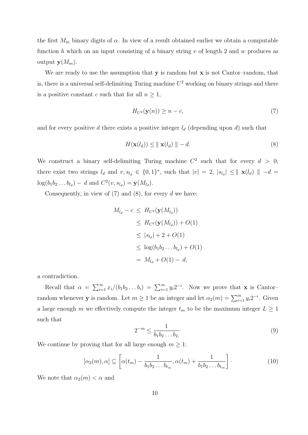the first  $M_m$  binary digits of  $\alpha$ . In view of a result obtained earlier we obtain a computable function h which on an input consisting of a binary string  $v$  of length 2 and  $w$  produces as output  $\mathbf{y}(M_m)$ .

We are ready to use the assumption that  $y$  is random but  $x$  is not Cantor-random, that is, there is a universal self-delimiting Turing machine  $U^2$  working on binary strings and there is a positive constant c such that for all  $n \geq 1$ ,

$$
H_{U^2}(\mathbf{y}(n)) \ge n - c,\tag{7}
$$

and for every positive d there exists a positive integer  $l_d$  (depending upon d) such that

$$
H(\mathbf{x}(l_d)) \le ||\mathbf{x}(l_d)|| - d. \tag{8}
$$

We construct a binary self-delimiting Turing machine  $C^2$  such that for every  $d > 0$ , there exist two strings  $l_d$  and  $v, s_{l_d} \in \{0, 1\}^*$ , such that  $|v| = 2$ ,  $|s_{l_d}| \le ||\mathbf{x}(l_d)|| - d =$  $log(b_1b_2...b_{l_d}) - d$  and  $C^2(v, s_{l_d}) = \mathbf{y}(M_{l_d}).$ 

Consequently, in view of  $(7)$  and  $(8)$ , for every d we have:

$$
M_{l_d} - c \leq H_{U^2}(\mathbf{y}(M_{l_d}))
$$
  
\n
$$
\leq H_{C^2}(\mathbf{y}(M_{l_d})) + O(1)
$$
  
\n
$$
\leq |s_{l_d}| + 2 + O(1)
$$
  
\n
$$
\leq \log(b_1 b_2 \dots b_{l_d}) + O(1)
$$
  
\n
$$
= M_{l_d} + O(1) - d,
$$

a contradiction.

Recall that  $\alpha = \sum_{i=1}^{\infty} x_i/(b_1b_2...b_i) = \sum_{i=1}^{\infty} y_i 2^{-i}$ . Now we prove that **x** is Cantorrandom whenever **y** is random. Let  $m \ge 1$  be an integer and let  $\alpha_2(m) = \sum_{i=1}^m y_i 2^{-i}$ . Given a large enough m we effectively compute the integer  $t_m$  to be the maximum integer  $L \geq 1$ such that

$$
2^{-m} \le \frac{1}{b_1 b_2 \dots b_L}.\tag{9}
$$

We continue by proving that for all large enough  $m \geq 1$ :

$$
[\alpha_2(m), \alpha] \subseteq \left[ \alpha(t_m) - \frac{1}{b_1 b_2 \dots b_{t_m}}, \alpha(t_m) + \frac{1}{b_1 b_2 \dots b_{t_m}} \right].
$$
\n(10)

We note that  $\alpha_2(m) < \alpha$  and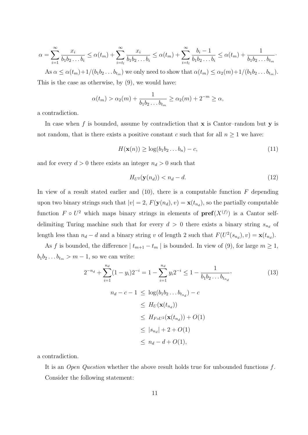$$
\alpha = \sum_{i=1}^{\infty} \frac{x_i}{b_1 b_2 \dots b_i} \le \alpha(t_m) + \sum_{i=t_l}^{\infty} \frac{x_i}{b_1 b_2 \dots b_i} \le \alpha(t_m) + \sum_{i=t_l}^{\infty} \frac{b_i - 1}{b_1 b_2 \dots b_i} \le \alpha(t_m) + \frac{1}{b_1 b_2 \dots b_{t_m}}.
$$

As  $\alpha \leq \alpha(t_m)+1/(b_1b_2...b_{t_m})$  we only need to show that  $\alpha(t_m) \leq \alpha_2(m)+1/(b_1b_2...b_{t_m})$ . This is the case as otherwise, by (9), we would have:

$$
\alpha(t_m) > \alpha_2(m) + \frac{1}{b_1 b_2 \dots b_{t_m}} \ge \alpha_2(m) + 2^{-m} \ge \alpha,
$$

a contradiction.

In case when f is bounded, assume by contradiction that  $x$  is Cantor-random but  $y$  is not random, that is there exists a positive constant c such that for all  $n \geq 1$  we have:

$$
H(\mathbf{x}(n)) \ge \log(b_1 b_2 \dots b_n) - c,\tag{11}
$$

and for every  $d > 0$  there exists an integer  $n_d > 0$  such that

$$
H_{U^2}(\mathbf{y}(n_d)) < n_d - d. \tag{12}
$$

In view of a result stated earlier and  $(10)$ , there is a computable function F depending upon two binary strings such that  $|v| = 2$ ,  $F(\mathbf{y}(n_d), v) = \mathbf{x}(t_{n_d})$ , so the partially computable function  $F \circ U^2$  which maps binary strings in elements of  $\text{pref}(X^{(f)})$  is a Cantor selfdelimiting Turing machine such that for every  $d > 0$  there exists a binary string  $s_{n_d}$  of length less than  $n_d - d$  and a binary string v of length 2 such that  $F(U^2(s_{n_d}), v) = \mathbf{x}(t_{n_d}).$ 

As f is bounded, the difference  $| t_{m+1} - t_m |$  is bounded. In view of (9), for large  $m \ge 1$ ,  $b_1b_2 \ldots b_{t_m} > m-1$ , so we can write:

$$
2^{-n_d} + \sum_{i=1}^{n_d} (1 - y_i) 2^{-i} = 1 - \sum_{i=1}^{n_d} y_i 2^{-i} \le 1 - \frac{1}{b_1 b_2 \dots b_{t_{n_d}}},
$$
  
\n
$$
n_d - c - 1 \le \log(b_1 b_2 \dots b_{t_{n_d}}) - c
$$
  
\n
$$
\le H_U(\mathbf{x}(t_{n_d}))
$$
  
\n
$$
\le H_{F \circ U^2}(\mathbf{x}(t_{n_d})) + O(1)
$$
  
\n
$$
\le |s_{n_d}| + 2 + O(1)
$$
  
\n
$$
\le n_d - d + O(1),
$$
  
\n(13)

a contradiction.

It is an Open Question whether the above result holds true for unbounded functions f. Consider the following statement: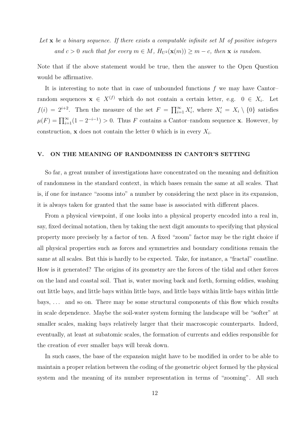Let  $\bf{x}$  be a binary sequence. If there exists a computable infinite set M of positive integers and  $c > 0$  such that for every  $m \in M$ ,  $H_{U^2}(\mathbf{x}(m)) \geq m - c$ , then **x** is random.

Note that if the above statement would be true, then the answer to the Open Question would be affirmative.

It is interesting to note that in case of unbounded functions  $f$  we may have Cantor– random sequences  $\mathbf{x} \in X^{(f)}$  which do not contain a certain letter, e.g.  $0 \in X_i$ . Let  $f(i) = 2^{i+2}$ . Then the measure of the set  $F = \prod_{i=1}^{\infty} X'_i$ , where  $X'_i = X_i \setminus \{0\}$  satisfies  $\mu(F) = \prod_{i=1}^{\infty} (1 - 2^{-i-1}) > 0$ . Thus F contains a Cantor-random sequence **x**. However, by construction, **x** does not contain the letter 0 which is in every  $X_i$ .

#### V. ON THE MEANING OF RANDOMNESS IN CANTOR'S SETTING

So far, a great number of investigations have concentrated on the meaning and definition of randomness in the standard context, in which bases remain the same at all scales. That is, if one for instance "zooms into" a number by considering the next place in its expansion, it is always taken for granted that the same base is associated with different places.

From a physical viewpoint, if one looks into a physical property encoded into a real in, say, fixed decimal notation, then by taking the next digit amounts to specifying that physical property more precisely by a factor of ten. A fixed "zoom" factor may be the right choice if all physical properties such as forces and symmetries and boundary conditions remain the same at all scales. But this is hardly to be expected. Take, for instance, a "fractal" coastline. How is it generated? The origins of its geometry are the forces of the tidal and other forces on the land and coastal soil. That is, water moving back and forth, forming eddies, washing out little bays, and little bays within little bays, and little bays within little bays within little bays, . . . and so on. There may be some structural components of this flow which results in scale dependence. Maybe the soil-water system forming the landscape will be "softer" at smaller scales, making bays relatively larger that their macroscopic counterparts. Indeed, eventually, at least at subatomic scales, the formation of currents and eddies responsible for the creation of ever smaller bays will break down.

In such cases, the base of the expansion might have to be modified in order to be able to maintain a proper relation between the coding of the geometric object formed by the physical system and the meaning of its number representation in terms of "zooming". All such